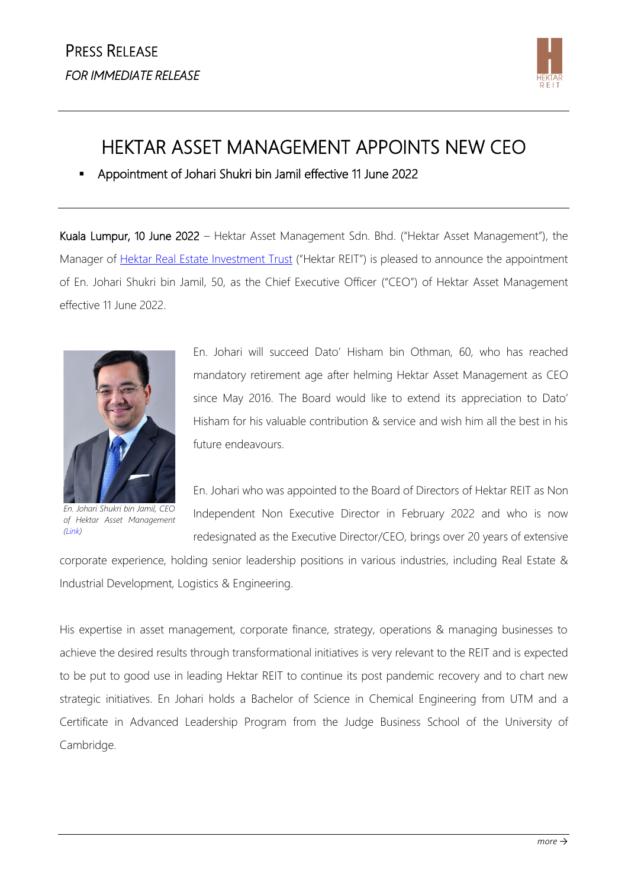

## HEKTAR ASSET MANAGEMENT APPOINTS NEW CEO

▪ Appointment of Johari Shukri bin Jamil effective 11 June 2022

Kuala Lumpur, 10 June 2022 – Hektar Asset Management Sdn. Bhd. ("Hektar Asset Management"), the Manager of [Hektar Real Estate Investment Trust](http://www.hektarreit.com/) ("Hektar REIT") is pleased to announce the appointment of En. Johari Shukri bin Jamil, 50, as the Chief Executive Officer ("CEO") of Hektar Asset Management effective 11 June 2022.



*En. Johari Shukri bin Jamil, CEO of Hektar Asset Management [\(Link\)](https://www.dropbox.com/s/myuowtj2t95dwbr/Hektar-220608-CEO-Johari%20%281%29.PNG?dl=0)*

En. Johari will succeed Dato' Hisham bin Othman, 60, who has reached mandatory retirement age after helming Hektar Asset Management as CEO since May 2016. The Board would like to extend its appreciation to Dato' Hisham for his valuable contribution & service and wish him all the best in his future endeavours.

En. Johari who was appointed to the Board of Directors of Hektar REIT as Non Independent Non Executive Director in February 2022 and who is now redesignated as the Executive Director/CEO, brings over 20 years of extensive

corporate experience, holding senior leadership positions in various industries, including Real Estate & Industrial Development, Logistics & Engineering.

His expertise in asset management, corporate finance, strategy, operations & managing businesses to achieve the desired results through transformational initiatives is very relevant to the REIT and is expected to be put to good use in leading Hektar REIT to continue its post pandemic recovery and to chart new strategic initiatives. En Johari holds a Bachelor of Science in Chemical Engineering from UTM and a Certificate in Advanced Leadership Program from the Judge Business School of the University of Cambridge.